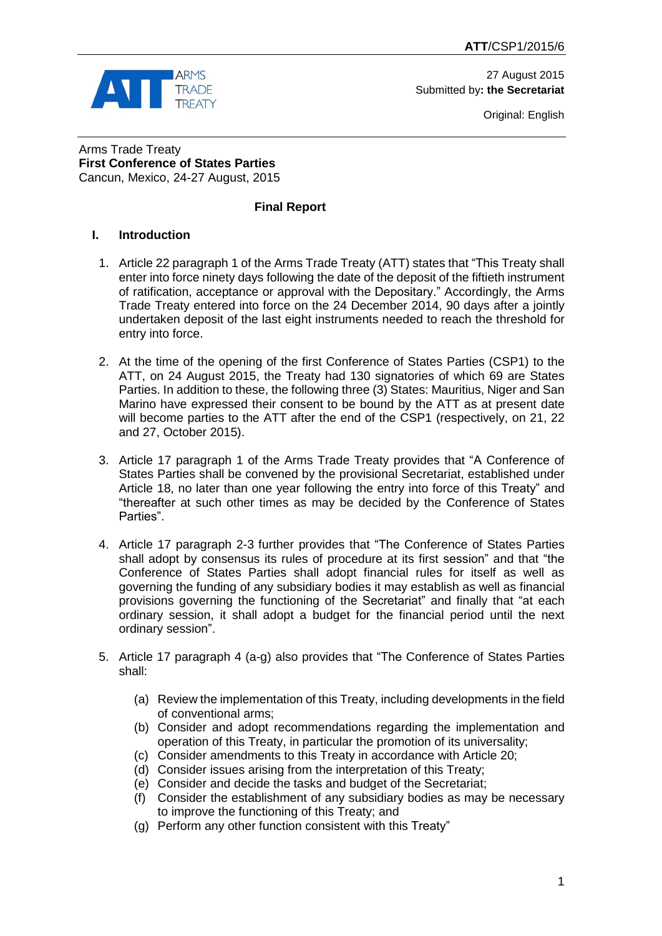

27 August 2015 Submitted by**: the Secretariat**

Original: English

Arms Trade Treaty **First Conference of States Parties** Cancun, Mexico, 24-27 August, 2015

### **Final Report**

## **I. Introduction**

- 1. Article 22 paragraph 1 of the Arms Trade Treaty (ATT) states that "This Treaty shall enter into force ninety days following the date of the deposit of the fiftieth instrument of ratification, acceptance or approval with the Depositary." Accordingly, the Arms Trade Treaty entered into force on the 24 December 2014, 90 days after a jointly undertaken deposit of the last eight instruments needed to reach the threshold for entry into force.
- 2. At the time of the opening of the first Conference of States Parties (CSP1) to the ATT, on 24 August 2015, the Treaty had 130 signatories of which 69 are States Parties. In addition to these, the following three (3) States: Mauritius, Niger and San Marino have expressed their consent to be bound by the ATT as at present date will become parties to the ATT after the end of the CSP1 (respectively, on 21, 22) and 27, October 2015).
- 3. Article 17 paragraph 1 of the Arms Trade Treaty provides that "A Conference of States Parties shall be convened by the provisional Secretariat, established under Article 18, no later than one year following the entry into force of this Treaty" and "thereafter at such other times as may be decided by the Conference of States Parties".
- 4. Article 17 paragraph 2-3 further provides that "The Conference of States Parties shall adopt by consensus its rules of procedure at its first session" and that "the Conference of States Parties shall adopt financial rules for itself as well as governing the funding of any subsidiary bodies it may establish as well as financial provisions governing the functioning of the Secretariat" and finally that "at each ordinary session, it shall adopt a budget for the financial period until the next ordinary session".
- 5. Article 17 paragraph 4 (a-g) also provides that "The Conference of States Parties shall:
	- (a) Review the implementation of this Treaty, including developments in the field of conventional arms;
	- (b) Consider and adopt recommendations regarding the implementation and operation of this Treaty, in particular the promotion of its universality;
	- (c) Consider amendments to this Treaty in accordance with Article 20;
	- (d) Consider issues arising from the interpretation of this Treaty;
	- (e) Consider and decide the tasks and budget of the Secretariat;
	- (f) Consider the establishment of any subsidiary bodies as may be necessary to improve the functioning of this Treaty; and
	- (g) Perform any other function consistent with this Treaty"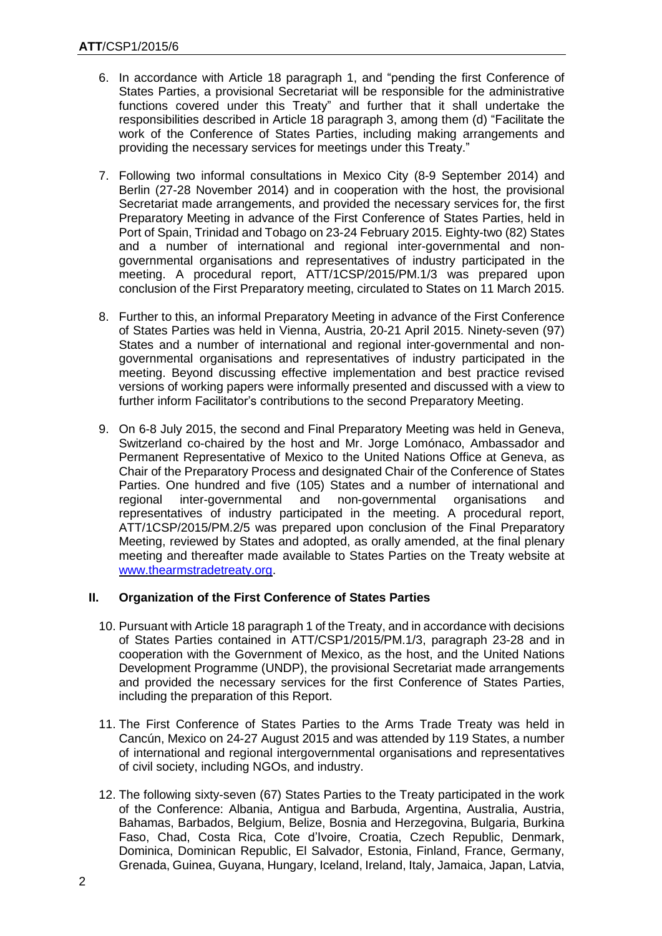- 6. In accordance with Article 18 paragraph 1, and "pending the first Conference of States Parties, a provisional Secretariat will be responsible for the administrative functions covered under this Treaty" and further that it shall undertake the responsibilities described in Article 18 paragraph 3, among them (d) "Facilitate the work of the Conference of States Parties, including making arrangements and providing the necessary services for meetings under this Treaty."
- 7. Following two informal consultations in Mexico City (8-9 September 2014) and Berlin (27-28 November 2014) and in cooperation with the host, the provisional Secretariat made arrangements, and provided the necessary services for, the first Preparatory Meeting in advance of the First Conference of States Parties, held in Port of Spain, Trinidad and Tobago on 23-24 February 2015. Eighty-two (82) States and a number of international and regional inter-governmental and nongovernmental organisations and representatives of industry participated in the meeting. A procedural report, ATT/1CSP/2015/PM.1/3 was prepared upon conclusion of the First Preparatory meeting, circulated to States on 11 March 2015.
- 8. Further to this, an informal Preparatory Meeting in advance of the First Conference of States Parties was held in Vienna, Austria, 20-21 April 2015. Ninety-seven (97) States and a number of international and regional inter-governmental and nongovernmental organisations and representatives of industry participated in the meeting. Beyond discussing effective implementation and best practice revised versions of working papers were informally presented and discussed with a view to further inform Facilitator's contributions to the second Preparatory Meeting.
- 9. On 6-8 July 2015, the second and Final Preparatory Meeting was held in Geneva, Switzerland co-chaired by the host and Mr. Jorge Lomónaco, Ambassador and Permanent Representative of Mexico to the United Nations Office at Geneva, as Chair of the Preparatory Process and designated Chair of the Conference of States Parties. One hundred and five (105) States and a number of international and regional inter-governmental and non-governmental organisations and representatives of industry participated in the meeting. A procedural report, ATT/1CSP/2015/PM.2/5 was prepared upon conclusion of the Final Preparatory Meeting, reviewed by States and adopted, as orally amended, at the final plenary meeting and thereafter made available to States Parties on the Treaty website at [www.thearmstradetreaty.org.](http://www.thearmstradetreaty.org/)

# **II. Organization of the First Conference of States Parties**

- 10. Pursuant with Article 18 paragraph 1 of the Treaty, and in accordance with decisions of States Parties contained in ATT/CSP1/2015/PM.1/3, paragraph 23-28 and in cooperation with the Government of Mexico, as the host, and the United Nations Development Programme (UNDP), the provisional Secretariat made arrangements and provided the necessary services for the first Conference of States Parties, including the preparation of this Report.
- 11. The First Conference of States Parties to the Arms Trade Treaty was held in Cancún, Mexico on 24-27 August 2015 and was attended by 119 States, a number of international and regional intergovernmental organisations and representatives of civil society, including NGOs, and industry.
- 12. The following sixty-seven (67) States Parties to the Treaty participated in the work of the Conference: Albania, Antigua and Barbuda, Argentina, Australia, Austria, Bahamas, Barbados, Belgium, Belize, Bosnia and Herzegovina, Bulgaria, Burkina Faso, Chad, Costa Rica, Cote d'Ivoire, Croatia, Czech Republic, Denmark, Dominica, Dominican Republic, El Salvador, Estonia, Finland, France, Germany, Grenada, Guinea, Guyana, Hungary, Iceland, Ireland, Italy, Jamaica, Japan, Latvia,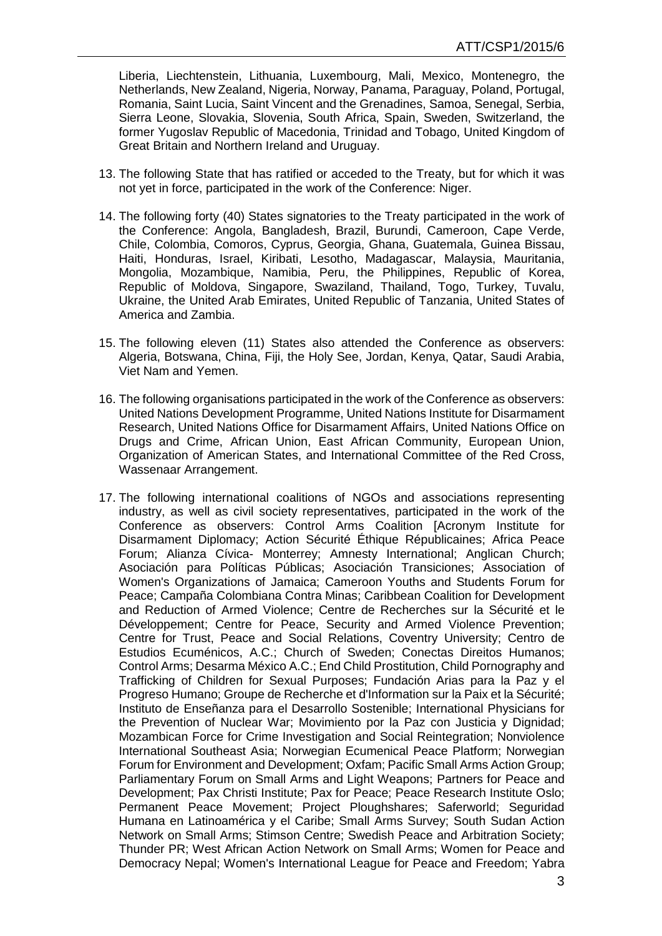Liberia, Liechtenstein, Lithuania, Luxembourg, Mali, Mexico, Montenegro, the Netherlands, New Zealand, Nigeria, Norway, Panama, Paraguay, Poland, Portugal, Romania, Saint Lucia, Saint Vincent and the Grenadines, Samoa, Senegal, Serbia, Sierra Leone, Slovakia, Slovenia, South Africa, Spain, Sweden, Switzerland, the former Yugoslav Republic of Macedonia, Trinidad and Tobago, United Kingdom of Great Britain and Northern Ireland and Uruguay.

- 13. The following State that has ratified or acceded to the Treaty, but for which it was not yet in force, participated in the work of the Conference: Niger.
- 14. The following forty (40) States signatories to the Treaty participated in the work of the Conference: Angola, Bangladesh, Brazil, Burundi, Cameroon, Cape Verde, Chile, Colombia, Comoros, Cyprus, Georgia, Ghana, Guatemala, Guinea Bissau, Haiti, Honduras, Israel, Kiribati, Lesotho, Madagascar, Malaysia, Mauritania, Mongolia, Mozambique, Namibia, Peru, the Philippines, Republic of Korea, Republic of Moldova, Singapore, Swaziland, Thailand, Togo, Turkey, Tuvalu, Ukraine, the United Arab Emirates, United Republic of Tanzania, United States of America and Zambia.
- 15. The following eleven (11) States also attended the Conference as observers: Algeria, Botswana, China, Fiji, the Holy See, Jordan, Kenya, Qatar, Saudi Arabia, Viet Nam and Yemen.
- 16. The following organisations participated in the work of the Conference as observers: United Nations Development Programme, United Nations Institute for Disarmament Research, United Nations Office for Disarmament Affairs, United Nations Office on Drugs and Crime, African Union, East African Community, European Union, Organization of American States, and International Committee of the Red Cross, Wassenaar Arrangement.
- 17. The following international coalitions of NGOs and associations representing industry, as well as civil society representatives, participated in the work of the Conference as observers: Control Arms Coalition [Acronym Institute for Disarmament Diplomacy; Action Sécurité Éthique Républicaines; Africa Peace Forum; Alianza Cívica- Monterrey; Amnesty International; Anglican Church; Asociación para Políticas Públicas; Asociación Transiciones; Association of Women's Organizations of Jamaica; Cameroon Youths and Students Forum for Peace; Campaña Colombiana Contra Minas; Caribbean Coalition for Development and Reduction of Armed Violence; Centre de Recherches sur la Sécurité et le Développement; Centre for Peace, Security and Armed Violence Prevention; Centre for Trust, Peace and Social Relations, Coventry University; Centro de Estudios Ecuménicos, A.C.; Church of Sweden; Conectas Direitos Humanos; Control Arms; Desarma México A.C.; End Child Prostitution, Child Pornography and Trafficking of Children for Sexual Purposes; Fundación Arias para la Paz y el Progreso Humano; Groupe de Recherche et d'Information sur la Paix et la Sécurité; Instituto de Enseñanza para el Desarrollo Sostenible; International Physicians for the Prevention of Nuclear War; Movimiento por la Paz con Justicia y Dignidad; Mozambican Force for Crime Investigation and Social Reintegration; Nonviolence International Southeast Asia; Norwegian Ecumenical Peace Platform; Norwegian Forum for Environment and Development; Oxfam; Pacific Small Arms Action Group; Parliamentary Forum on Small Arms and Light Weapons; Partners for Peace and Development; Pax Christi Institute; Pax for Peace; Peace Research Institute Oslo; Permanent Peace Movement; Project Ploughshares; Saferworld; Seguridad Humana en Latinoamérica y el Caribe; Small Arms Survey; South Sudan Action Network on Small Arms; Stimson Centre; Swedish Peace and Arbitration Society; Thunder PR; West African Action Network on Small Arms; Women for Peace and Democracy Nepal; Women's International League for Peace and Freedom; Yabra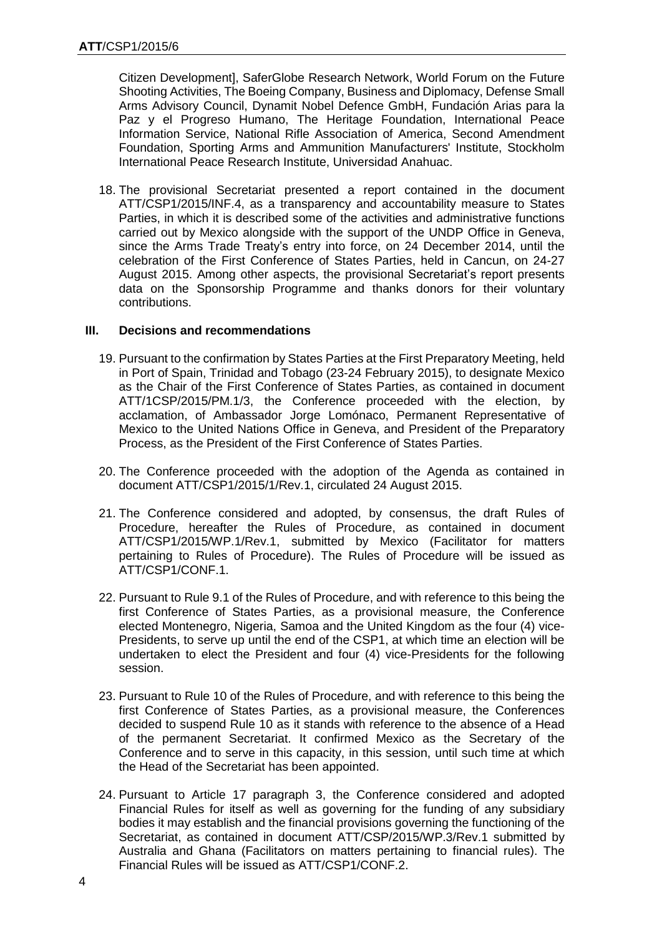Citizen Development], SaferGlobe Research Network, World Forum on the Future Shooting Activities, The Boeing Company, Business and Diplomacy, Defense Small Arms Advisory Council, Dynamit Nobel Defence GmbH, Fundación Arias para la Paz y el Progreso Humano, The Heritage Foundation, International Peace Information Service, National Rifle Association of America, Second Amendment Foundation, Sporting Arms and Ammunition Manufacturers' Institute, Stockholm International Peace Research Institute, Universidad Anahuac.

18. The provisional Secretariat presented a report contained in the document ATT/CSP1/2015/INF.4, as a transparency and accountability measure to States Parties, in which it is described some of the activities and administrative functions carried out by Mexico alongside with the support of the UNDP Office in Geneva, since the Arms Trade Treaty's entry into force, on 24 December 2014, until the celebration of the First Conference of States Parties, held in Cancun, on 24-27 August 2015. Among other aspects, the provisional Secretariat's report presents data on the Sponsorship Programme and thanks donors for their voluntary contributions.

#### **III. Decisions and recommendations**

- 19. Pursuant to the confirmation by States Parties at the First Preparatory Meeting, held in Port of Spain, Trinidad and Tobago (23-24 February 2015), to designate Mexico as the Chair of the First Conference of States Parties, as contained in document ATT/1CSP/2015/PM.1/3, the Conference proceeded with the election, by acclamation, of Ambassador Jorge Lomónaco, Permanent Representative of Mexico to the United Nations Office in Geneva, and President of the Preparatory Process, as the President of the First Conference of States Parties.
- 20. The Conference proceeded with the adoption of the Agenda as contained in document ATT/CSP1/2015/1/Rev.1, circulated 24 August 2015.
- 21. The Conference considered and adopted, by consensus, the draft Rules of Procedure, hereafter the Rules of Procedure, as contained in document ATT/CSP1/2015/WP.1/Rev.1, submitted by Mexico (Facilitator for matters pertaining to Rules of Procedure). The Rules of Procedure will be issued as ATT/CSP1/CONF.1.
- 22. Pursuant to Rule 9.1 of the Rules of Procedure, and with reference to this being the first Conference of States Parties, as a provisional measure, the Conference elected Montenegro, Nigeria, Samoa and the United Kingdom as the four (4) vice-Presidents, to serve up until the end of the CSP1, at which time an election will be undertaken to elect the President and four (4) vice-Presidents for the following session.
- 23. Pursuant to Rule 10 of the Rules of Procedure, and with reference to this being the first Conference of States Parties, as a provisional measure, the Conferences decided to suspend Rule 10 as it stands with reference to the absence of a Head of the permanent Secretariat. It confirmed Mexico as the Secretary of the Conference and to serve in this capacity, in this session, until such time at which the Head of the Secretariat has been appointed.
- 24. Pursuant to Article 17 paragraph 3, the Conference considered and adopted Financial Rules for itself as well as governing for the funding of any subsidiary bodies it may establish and the financial provisions governing the functioning of the Secretariat, as contained in document ATT/CSP/2015/WP.3/Rev.1 submitted by Australia and Ghana (Facilitators on matters pertaining to financial rules). The Financial Rules will be issued as ATT/CSP1/CONF.2.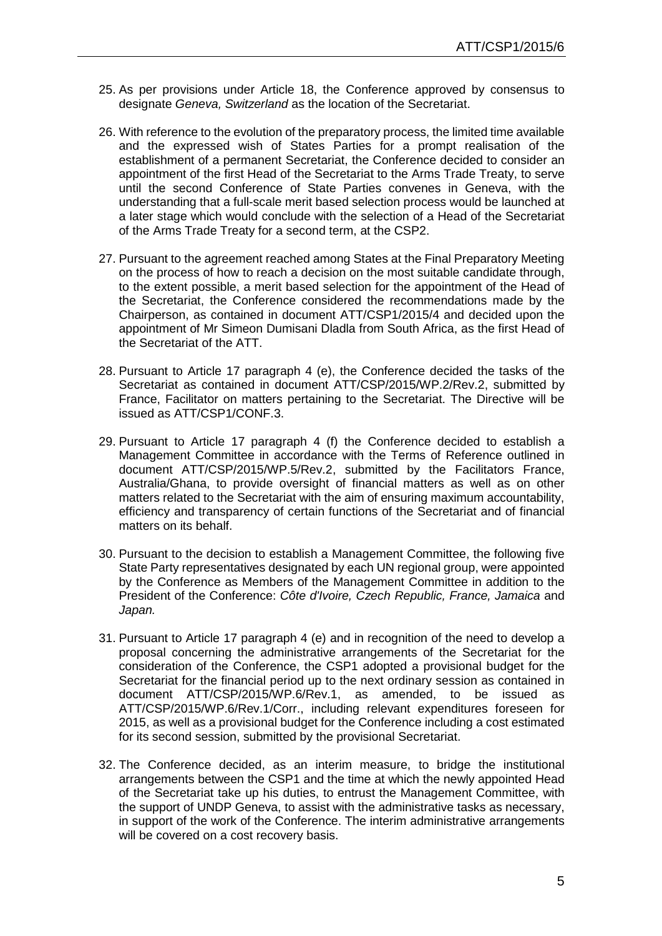- 25. As per provisions under Article 18, the Conference approved by consensus to designate *Geneva, Switzerland* as the location of the Secretariat.
- 26. With reference to the evolution of the preparatory process, the limited time available and the expressed wish of States Parties for a prompt realisation of the establishment of a permanent Secretariat, the Conference decided to consider an appointment of the first Head of the Secretariat to the Arms Trade Treaty, to serve until the second Conference of State Parties convenes in Geneva, with the understanding that a full-scale merit based selection process would be launched at a later stage which would conclude with the selection of a Head of the Secretariat of the Arms Trade Treaty for a second term, at the CSP2.
- 27. Pursuant to the agreement reached among States at the Final Preparatory Meeting on the process of how to reach a decision on the most suitable candidate through, to the extent possible, a merit based selection for the appointment of the Head of the Secretariat, the Conference considered the recommendations made by the Chairperson, as contained in document ATT/CSP1/2015/4 and decided upon the appointment of Mr Simeon Dumisani Dladla from South Africa, as the first Head of the Secretariat of the ATT.
- 28. Pursuant to Article 17 paragraph 4 (e), the Conference decided the tasks of the Secretariat as contained in document ATT/CSP/2015/WP.2/Rev.2, submitted by France, Facilitator on matters pertaining to the Secretariat. The Directive will be issued as ATT/CSP1/CONF.3.
- 29. Pursuant to Article 17 paragraph 4 (f) the Conference decided to establish a Management Committee in accordance with the Terms of Reference outlined in document ATT/CSP/2015/WP.5/Rev.2, submitted by the Facilitators France, Australia/Ghana, to provide oversight of financial matters as well as on other matters related to the Secretariat with the aim of ensuring maximum accountability, efficiency and transparency of certain functions of the Secretariat and of financial matters on its behalf.
- 30. Pursuant to the decision to establish a Management Committee, the following five State Party representatives designated by each UN regional group, were appointed by the Conference as Members of the Management Committee in addition to the President of the Conference: *Côte d'Ivoire, Czech Republic, France, Jamaica* and *Japan.*
- 31. Pursuant to Article 17 paragraph 4 (e) and in recognition of the need to develop a proposal concerning the administrative arrangements of the Secretariat for the consideration of the Conference, the CSP1 adopted a provisional budget for the Secretariat for the financial period up to the next ordinary session as contained in document ATT/CSP/2015/WP.6/Rev.1, as amended, to be issued as ATT/CSP/2015/WP.6/Rev.1/Corr., including relevant expenditures foreseen for 2015, as well as a provisional budget for the Conference including a cost estimated for its second session, submitted by the provisional Secretariat.
- 32. The Conference decided, as an interim measure, to bridge the institutional arrangements between the CSP1 and the time at which the newly appointed Head of the Secretariat take up his duties, to entrust the Management Committee, with the support of UNDP Geneva, to assist with the administrative tasks as necessary, in support of the work of the Conference. The interim administrative arrangements will be covered on a cost recovery basis.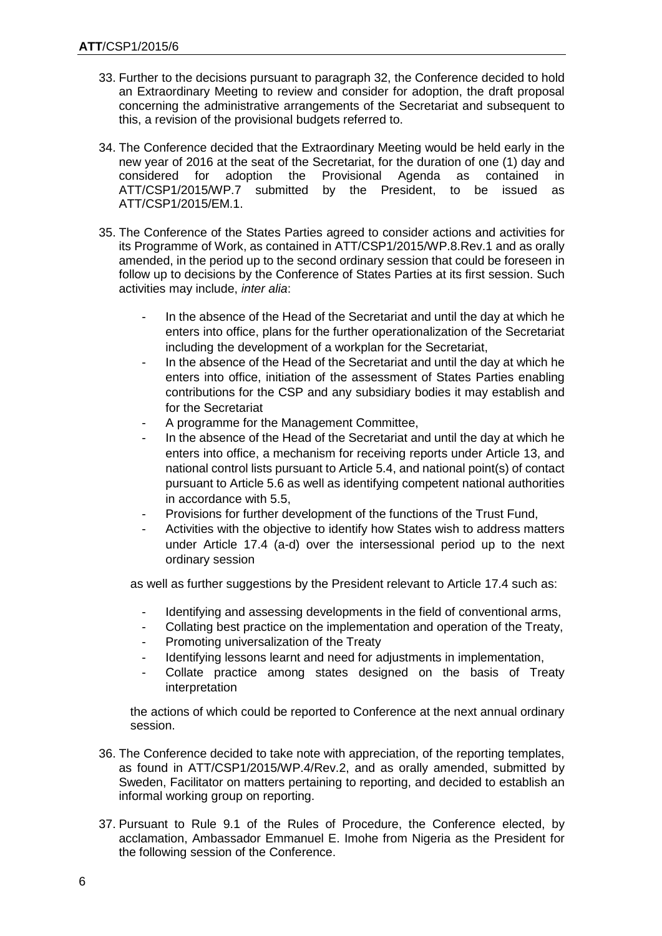- 33. Further to the decisions pursuant to paragraph 32, the Conference decided to hold an Extraordinary Meeting to review and consider for adoption, the draft proposal concerning the administrative arrangements of the Secretariat and subsequent to this, a revision of the provisional budgets referred to.
- 34. The Conference decided that the Extraordinary Meeting would be held early in the new year of 2016 at the seat of the Secretariat, for the duration of one (1) day and considered for adoption the Provisional Agenda as contained in considered for adoption the Provisional Agenda as contained in<br>ATT/CSP1/2015/WP.7 submitted by the President, to be issued as submitted by the President, to be issued as ATT/CSP1/2015/EM.1.
- 35. The Conference of the States Parties agreed to consider actions and activities for its Programme of Work, as contained in ATT/CSP1/2015/WP.8.Rev.1 and as orally amended, in the period up to the second ordinary session that could be foreseen in follow up to decisions by the Conference of States Parties at its first session. Such activities may include, *inter alia*:
	- In the absence of the Head of the Secretariat and until the day at which he enters into office, plans for the further operationalization of the Secretariat including the development of a workplan for the Secretariat,
	- In the absence of the Head of the Secretariat and until the day at which he enters into office, initiation of the assessment of States Parties enabling contributions for the CSP and any subsidiary bodies it may establish and for the Secretariat
	- A programme for the Management Committee,
	- In the absence of the Head of the Secretariat and until the day at which he enters into office, a mechanism for receiving reports under Article 13, and national control lists pursuant to Article 5.4, and national point(s) of contact pursuant to Article 5.6 as well as identifying competent national authorities in accordance with 5.5,
	- Provisions for further development of the functions of the Trust Fund,
	- Activities with the objective to identify how States wish to address matters under Article 17.4 (a-d) over the intersessional period up to the next ordinary session

as well as further suggestions by the President relevant to Article 17.4 such as:

- Identifying and assessing developments in the field of conventional arms,
- Collating best practice on the implementation and operation of the Treaty,
- Promoting universalization of the Treaty
- Identifying lessons learnt and need for adjustments in implementation,
- Collate practice among states designed on the basis of Treaty interpretation

the actions of which could be reported to Conference at the next annual ordinary session.

- 36. The Conference decided to take note with appreciation, of the reporting templates, as found in ATT/CSP1/2015/WP.4/Rev.2, and as orally amended, submitted by Sweden, Facilitator on matters pertaining to reporting, and decided to establish an informal working group on reporting.
- 37. Pursuant to Rule 9.1 of the Rules of Procedure, the Conference elected, by acclamation, Ambassador Emmanuel E. Imohe from Nigeria as the President for the following session of the Conference.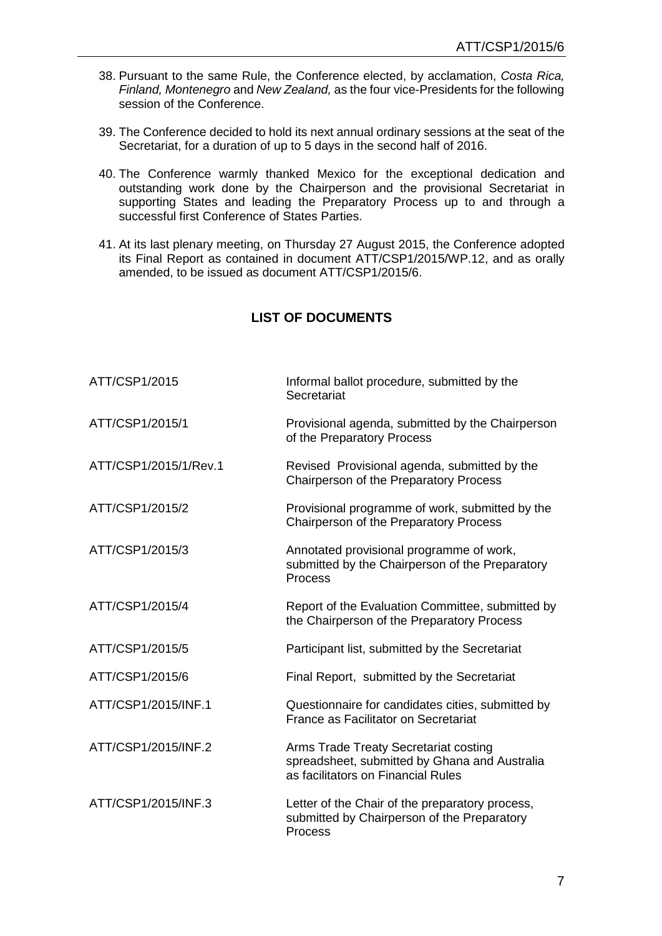- 38. Pursuant to the same Rule, the Conference elected, by acclamation, *Costa Rica, Finland, Montenegro* and *New Zealand,* as the four vice-Presidents for the following session of the Conference.
- 39. The Conference decided to hold its next annual ordinary sessions at the seat of the Secretariat, for a duration of up to 5 days in the second half of 2016.
- 40. The Conference warmly thanked Mexico for the exceptional dedication and outstanding work done by the Chairperson and the provisional Secretariat in supporting States and leading the Preparatory Process up to and through a successful first Conference of States Parties.
- 41. At its last plenary meeting, on Thursday 27 August 2015, the Conference adopted its Final Report as contained in document ATT/CSP1/2015/WP.12, and as orally amended, to be issued as document ATT/CSP1/2015/6.

# **LIST OF DOCUMENTS**

| ATT/CSP1/2015         | Informal ballot procedure, submitted by the<br>Secretariat                                                                   |
|-----------------------|------------------------------------------------------------------------------------------------------------------------------|
| ATT/CSP1/2015/1       | Provisional agenda, submitted by the Chairperson<br>of the Preparatory Process                                               |
| ATT/CSP1/2015/1/Rev.1 | Revised Provisional agenda, submitted by the<br>Chairperson of the Preparatory Process                                       |
| ATT/CSP1/2015/2       | Provisional programme of work, submitted by the<br>Chairperson of the Preparatory Process                                    |
| ATT/CSP1/2015/3       | Annotated provisional programme of work,<br>submitted by the Chairperson of the Preparatory<br><b>Process</b>                |
| ATT/CSP1/2015/4       | Report of the Evaluation Committee, submitted by<br>the Chairperson of the Preparatory Process                               |
| ATT/CSP1/2015/5       | Participant list, submitted by the Secretariat                                                                               |
| ATT/CSP1/2015/6       | Final Report, submitted by the Secretariat                                                                                   |
| ATT/CSP1/2015/INF.1   | Questionnaire for candidates cities, submitted by<br>France as Facilitator on Secretariat                                    |
| ATT/CSP1/2015/INF.2   | Arms Trade Treaty Secretariat costing<br>spreadsheet, submitted by Ghana and Australia<br>as facilitators on Financial Rules |
| ATT/CSP1/2015/INF.3   | Letter of the Chair of the preparatory process,<br>submitted by Chairperson of the Preparatory<br>Process                    |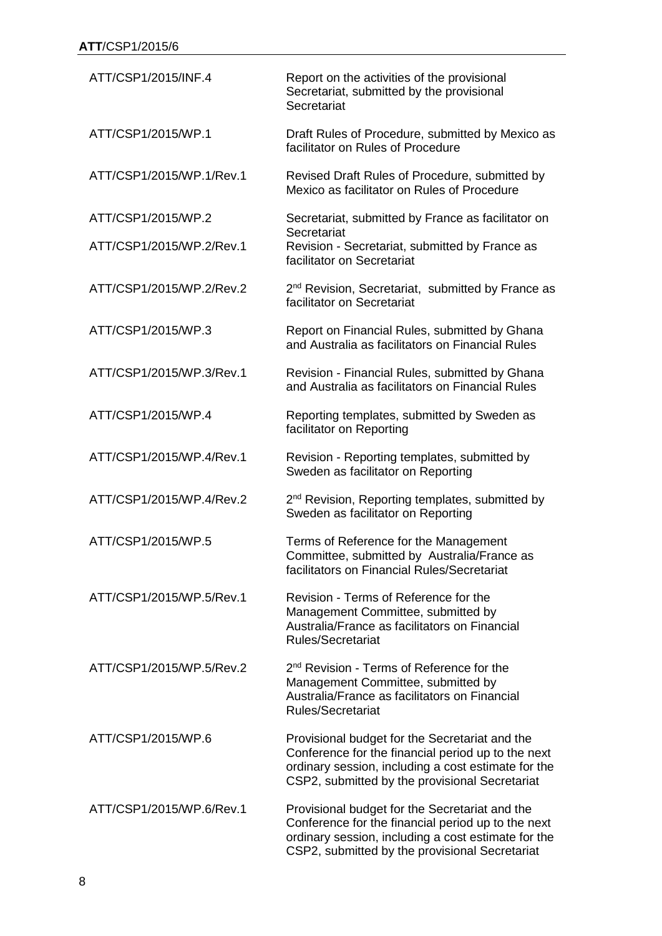| ATT/CSP1/2015/INF.4      | Report on the activities of the provisional<br>Secretariat, submitted by the provisional<br>Secretariat                                                                                                       |
|--------------------------|---------------------------------------------------------------------------------------------------------------------------------------------------------------------------------------------------------------|
| ATT/CSP1/2015/WP.1       | Draft Rules of Procedure, submitted by Mexico as<br>facilitator on Rules of Procedure                                                                                                                         |
| ATT/CSP1/2015/WP.1/Rev.1 | Revised Draft Rules of Procedure, submitted by<br>Mexico as facilitator on Rules of Procedure                                                                                                                 |
| ATT/CSP1/2015/WP.2       | Secretariat, submitted by France as facilitator on                                                                                                                                                            |
| ATT/CSP1/2015/WP.2/Rev.1 | Secretariat<br>Revision - Secretariat, submitted by France as<br>facilitator on Secretariat                                                                                                                   |
| ATT/CSP1/2015/WP.2/Rev.2 | 2 <sup>nd</sup> Revision, Secretariat, submitted by France as<br>facilitator on Secretariat                                                                                                                   |
| ATT/CSP1/2015/WP.3       | Report on Financial Rules, submitted by Ghana<br>and Australia as facilitators on Financial Rules                                                                                                             |
| ATT/CSP1/2015/WP.3/Rev.1 | Revision - Financial Rules, submitted by Ghana<br>and Australia as facilitators on Financial Rules                                                                                                            |
| ATT/CSP1/2015/WP.4       | Reporting templates, submitted by Sweden as<br>facilitator on Reporting                                                                                                                                       |
| ATT/CSP1/2015/WP.4/Rev.1 | Revision - Reporting templates, submitted by<br>Sweden as facilitator on Reporting                                                                                                                            |
| ATT/CSP1/2015/WP.4/Rev.2 | 2 <sup>nd</sup> Revision, Reporting templates, submitted by<br>Sweden as facilitator on Reporting                                                                                                             |
| ATT/CSP1/2015/WP.5       | Terms of Reference for the Management<br>Committee, submitted by Australia/France as<br>facilitators on Financial Rules/Secretariat                                                                           |
| ATT/CSP1/2015/WP.5/Rev.1 | Revision - Terms of Reference for the<br>Management Committee, submitted by<br>Australia/France as facilitators on Financial<br>Rules/Secretariat                                                             |
| ATT/CSP1/2015/WP.5/Rev.2 | 2 <sup>nd</sup> Revision - Terms of Reference for the<br>Management Committee, submitted by<br>Australia/France as facilitators on Financial<br><b>Rules/Secretariat</b>                                      |
| ATT/CSP1/2015/WP.6       | Provisional budget for the Secretariat and the<br>Conference for the financial period up to the next<br>ordinary session, including a cost estimate for the<br>CSP2, submitted by the provisional Secretariat |
| ATT/CSP1/2015/WP.6/Rev.1 | Provisional budget for the Secretariat and the<br>Conference for the financial period up to the next<br>ordinary session, including a cost estimate for the<br>CSP2, submitted by the provisional Secretariat |